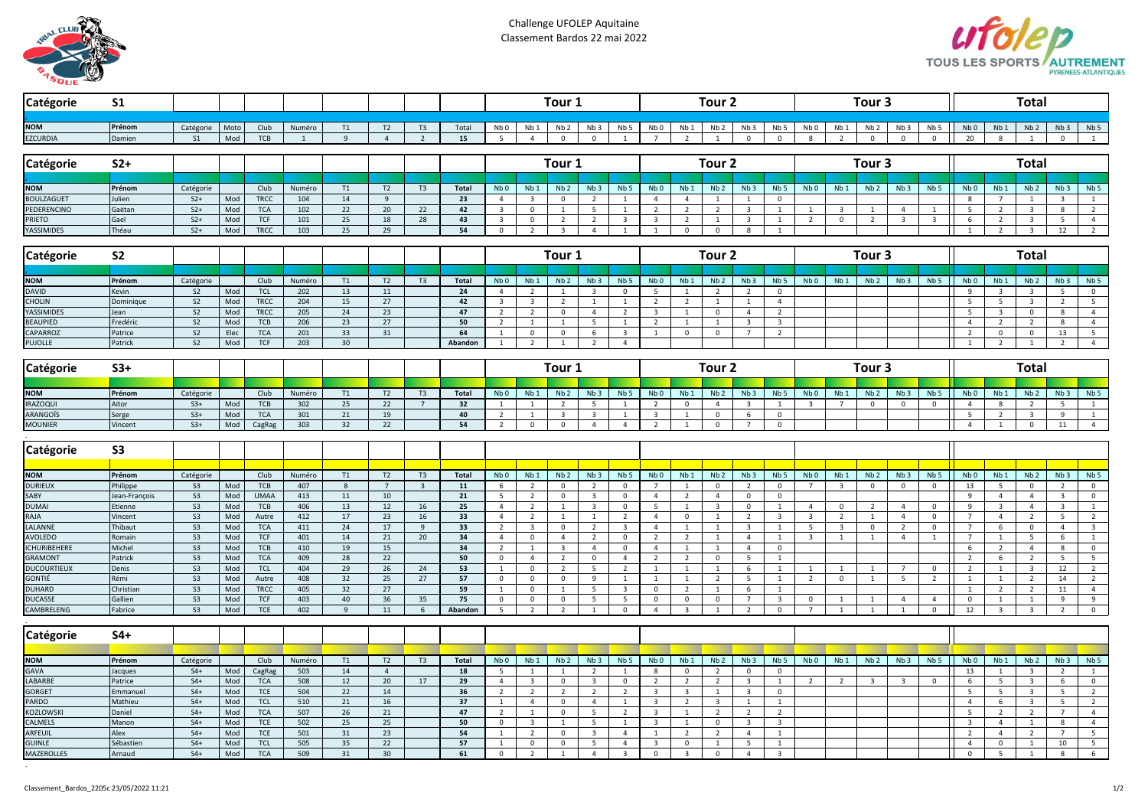

Challenge UFOLEP Aquitaine Classement Bardos 22 mai 2022



| Catégorie                       | <b>S1</b>            |                      |            |                           |                |          |                |                |              | Tour <sub>1</sub>                |                             |                                        |                         |                              | Tour <sub>2</sub>                         |                               |                            |                         |                                         |                         |                         | Tour <sub>3</sub>       |                         |                         | <b>Total</b>             |                                |                                         |                         |                                |  |  |
|---------------------------------|----------------------|----------------------|------------|---------------------------|----------------|----------|----------------|----------------|--------------|----------------------------------|-----------------------------|----------------------------------------|-------------------------|------------------------------|-------------------------------------------|-------------------------------|----------------------------|-------------------------|-----------------------------------------|-------------------------|-------------------------|-------------------------|-------------------------|-------------------------|--------------------------|--------------------------------|-----------------------------------------|-------------------------|--------------------------------|--|--|
|                                 |                      |                      |            |                           |                |          |                |                |              |                                  |                             |                                        |                         |                              |                                           |                               |                            |                         |                                         |                         |                         |                         |                         |                         |                          |                                |                                         |                         |                                |  |  |
| <b>NOM</b>                      | Prénom               | Catégorie            | Moto       | Club                      | Numéro         | T1       | T2             | T <sub>3</sub> | Total        | Nb 0                             | Nb 1                        | Nb <sub>2</sub>                        | Nb <sub>3</sub>         | Nb <sub>5</sub>              | Nb <sub>0</sub>                           | Nb 1                          | Nb <sub>2</sub>            | Nb <sub>3</sub>         | Nb 5                                    | Nb <sub>0</sub>         | Nb 1                    | Nb <sub>2</sub>         | Nb <sub>3</sub>         | Nb <sub>5</sub>         | Nb <sub>0</sub>          | Nb <sub>1</sub>                | Nb <sub>2</sub>                         | Nb <sub>3</sub>         | Nb <sub>5</sub>                |  |  |
| <b>EZCURDIA</b>                 | Damien               | S <sub>1</sub>       | Mod        | <b>TCB</b>                | $\overline{1}$ | 9        | $\overline{4}$ | $\overline{2}$ | 15           | 5                                | $\overline{4}$              | $\Omega$                               | $\mathbf{0}$            | $\overline{1}$               | $\overline{7}$                            | $\overline{2}$                | $\overline{1}$             | $\mathbf{0}$            | $\mathbf 0$                             | 8                       | $\overline{2}$          | $\mathbf 0$             | $\mathbf 0$             | $\mathbf{0}$            | 20                       | $\mathbf{8}$                   | $\overline{1}$                          | $\mathbf{0}$            | $\overline{1}$                 |  |  |
| Catégorie                       | $S2+$                |                      |            |                           |                |          |                |                |              |                                  | Tour <sub>1</sub>           |                                        |                         |                              |                                           | Tour <sub>2</sub>             |                            |                         |                                         |                         |                         | Tour 3                  |                         |                         | <b>Total</b>             |                                |                                         |                         |                                |  |  |
|                                 |                      |                      |            |                           |                |          |                |                |              |                                  |                             |                                        |                         |                              |                                           |                               |                            |                         |                                         |                         |                         |                         |                         |                         |                          |                                |                                         |                         |                                |  |  |
| <b>NOM</b>                      | Prénom               | Catégorie            |            | Club                      | Numéro         | T1       | T2             | T <sub>3</sub> | <b>Total</b> | Nb <sub>0</sub>                  | Nb <sub>1</sub>             | Nb <sub>2</sub>                        | Nb <sub>3</sub>         | Nb <sub>5</sub>              | Nb <sub>0</sub>                           | Nb <sub>1</sub>               | Nb <sub>2</sub>            | Nb <sub>3</sub>         | Nb <sub>5</sub>                         | Nb <sub>0</sub>         | Nb <sub>1</sub>         | Nb <sub>2</sub>         | Nb <sub>3</sub>         | Nb <sub>5</sub>         | Nb <sub>0</sub>          | Nb <sub>1</sub>                | Nb <sub>2</sub>                         | Nb <sub>3</sub>         | Nb <sub>5</sub>                |  |  |
| <b>BOULZAGUET</b>               | Julien               | $S2+$                | Mod        | <b>TRCC</b>               | 104            | 14       | 9              |                | 23           | $\overline{4}$                   | 3                           | $\mathbf{0}$                           | $\overline{2}$          | $\mathbf{1}$                 | $\overline{4}$                            | $\overline{4}$                | $\mathbf{1}$               | 1                       | $\mathbf{0}$                            |                         |                         |                         |                         |                         | 8                        | $\overline{7}$                 | $\mathbf{1}$                            | $\mathbf{3}$            | $\mathbf{1}$                   |  |  |
| PEDERENCINO                     | Gaëtan               | $S2+$                | Mod        | <b>TCA</b>                | 102            | 22       | 20             | 22             | 42           | $\overline{3}$                   | $\mathbf{0}$                | $\mathbf{1}$                           | 5                       | <sup>1</sup>                 | $\overline{2}$                            | $\overline{2}$                | $\overline{2}$             | $\overline{3}$          | $\mathbf{1}$                            | $\mathbf{1}$            | $\overline{3}$          | 1                       | $\overline{4}$          | 1                       | 5                        | $\overline{2}$                 | $\overline{3}$                          | 8                       | $\overline{2}$                 |  |  |
| PRIETO                          | Gael                 | $S2+$                | Mod        | <b>TCF</b>                | 101            | 25       | 18             | 28             | 43           | $\overline{3}$                   | $\mathbf 0$                 | $\overline{2}$                         | $\overline{2}$          | $\overline{3}$               | $\overline{\mathbf{3}}$                   | $\overline{2}$                | $\mathbf{1}$               | $\overline{\mathbf{3}}$ | $\mathbf{1}$                            | 2                       | $\mathbf{0}$            | $\overline{2}$          | $\overline{\mathbf{3}}$ | $\overline{\mathbf{3}}$ | 6                        | $\overline{2}$                 | $\overline{\mathbf{3}}$                 | 5                       | $\overline{4}$                 |  |  |
| YASSIMIDES                      | Théau                | $S2+$                | Mod        | <b>TRCC</b>               | 103            | 25       | 29             |                | 54           | $\mathsf{o}$                     | $\overline{2}$              | $\overline{\mathbf{3}}$                | $\overline{4}$          | $\mathbf{1}$                 | 1                                         | $\mathbf 0$                   | $\mathbf 0$                | 8                       | $\mathbf{1}$                            |                         |                         |                         |                         |                         | $\overline{1}$           | $\overline{2}$                 | $\overline{\mathbf{3}}$                 | 12                      | $\overline{2}$                 |  |  |
| Catégorie                       | S <sub>2</sub>       |                      |            |                           |                |          |                |                |              |                                  | Tour 1                      |                                        |                         |                              |                                           |                               | Tour <sub>2</sub>          |                         |                                         | Tour <sub>3</sub>       |                         |                         |                         |                         |                          | <b>Total</b>                   |                                         |                         |                                |  |  |
|                                 |                      |                      |            |                           |                |          |                |                |              |                                  |                             |                                        |                         |                              |                                           |                               |                            |                         |                                         |                         |                         |                         |                         |                         |                          |                                |                                         |                         |                                |  |  |
| <b>NOM</b>                      | Prénom               | Catégorie            |            | Club                      | Numéro         | T1       | T2             | T <sub>3</sub> | <b>Total</b> | Nb <sub>0</sub>                  | Nb <sub>1</sub>             | Nb <sub>2</sub>                        | Nb <sub>3</sub>         | Nb <sub>5</sub>              | Nb <sub>0</sub>                           | Nb <sub>1</sub>               | Nb <sub>2</sub>            | Nb <sub>3</sub>         | Nb <sub>5</sub>                         | NbO                     | Nb <sub>1</sub>         | Nb <sub>2</sub>         | Nb <sub>3</sub>         | Nb <sub>5</sub>         | Nb <sub>0</sub>          | Nb <sub>1</sub>                | Nb <sub>2</sub>                         | Nb <sub>3</sub>         | Nb <sub>5</sub>                |  |  |
| <b>DAVID</b>                    | Kevin                | S <sub>2</sub>       | Mod        | <b>TCL</b>                | 202            | 13       | 11             |                | 24           | $\overline{4}$                   | $\overline{2}$              | 1                                      | $\overline{\mathbf{3}}$ | $\mathbf 0$                  | $5\overline{5}$                           | $\mathbf{1}$                  | $\overline{2}$             | $\overline{2}$          | $\overline{0}$                          |                         |                         |                         |                         |                         | 9                        | $\overline{\mathbf{3}}$        | $\overline{\mathbf{3}}$                 | 5                       | $\overline{0}$                 |  |  |
| <b>CHOLIN</b>                   | Dominique            | S <sub>2</sub>       | Mod        | <b>TRCC</b>               | 204            | 15       | 27             |                | 42           | $\overline{\mathbf{3}}$          | $\overline{\mathbf{3}}$     | $\overline{2}$                         | $\mathbf{1}$            | $\mathbf{1}$                 | $\overline{2}$                            | $\overline{2}$                | $\overline{1}$             | $\mathbf{1}$            | $\overline{4}$                          |                         |                         |                         |                         |                         | 5                        | 5                              | $\overline{\mathbf{3}}$                 | $\overline{2}$          | 5                              |  |  |
| YASSIMIDES                      | ean                  | S <sub>2</sub>       | Mod        | <b>TRCC</b>               | 205            | 24       | 23             |                | 47           | $\overline{2}$                   | $\overline{2}$              | $\mathsf 0$                            | $\overline{4}$          | $\overline{2}$               | $\overline{\mathbf{3}}$                   |                               | $\mathbf 0$                | $\overline{4}$          | $\overline{2}$                          |                         |                         |                         |                         |                         | 5                        | $\overline{3}$                 | $\mathbf 0$                             | 8                       | $\overline{4}$                 |  |  |
| <b>BEAUPIED</b>                 | redéric              | S <sub>2</sub>       | Mod        | <b>TCB</b>                | 206            | 23       | 27             |                | 50           | $\overline{2}$                   | $\mathbf{1}$                | $\mathbf{1}$                           | 5                       | $\mathbf{1}$                 | $\overline{2}$                            | $\mathbf{1}$                  | <sup>1</sup>               | $\overline{\mathbf{3}}$ | $\overline{3}$                          |                         |                         |                         |                         |                         | $\overline{4}$           | $\overline{2}$                 | $\overline{2}$                          | 8                       | $\overline{4}$                 |  |  |
| CAPARROZ                        | Patrice              | S <sub>2</sub>       | Elec       | <b>TCA</b>                | 201            | 33       | 31             |                | 64           | $\mathbf{1}$                     | $\mathbf{0}$                | $\mathbf 0$                            | 6                       | $\overline{\mathbf{3}}$      | $\overline{1}$                            | $\Omega$                      | $\Omega$                   | $\overline{7}$          | $\overline{2}$                          |                         |                         |                         |                         |                         | $\overline{\phantom{a}}$ | $\mathbf{0}$                   | $\mathbf 0$                             | 13                      | 5                              |  |  |
| <b>PUJOLLE</b>                  | Patrick              | S <sub>2</sub>       | Mod        | <b>TCF</b>                | 203            | 30       |                |                | Abandon      | 1                                | $\overline{2}$              | $\mathbf{1}$                           | $\overline{2}$          | $\overline{4}$               |                                           |                               |                            |                         |                                         |                         |                         |                         |                         |                         | $\mathbf{1}$             | $\overline{2}$                 | $\mathbf{1}$                            | $\overline{2}$          | $\overline{4}$                 |  |  |
| Catégorie                       | $S3+$                |                      |            |                           |                |          |                |                |              |                                  | Tour <sub>1</sub>           |                                        |                         |                              |                                           | Tour <sub>2</sub>             |                            |                         |                                         |                         |                         | Tour <sub>3</sub>       |                         |                         | <b>Total</b>             |                                |                                         |                         |                                |  |  |
|                                 |                      |                      |            |                           |                |          |                |                |              |                                  |                             |                                        |                         |                              |                                           |                               |                            |                         |                                         |                         |                         |                         |                         |                         |                          |                                |                                         |                         |                                |  |  |
| <b>NOM</b>                      | Prénom               | Catégorie            |            | Club                      | Numéro         | T1       | T2             | T <sub>3</sub> | <b>Total</b> | Nb <sub>0</sub>                  | Nb <sub>1</sub>             | Nb <sub>2</sub>                        | Nb <sub>3</sub>         | Nb <sub>5</sub>              | Nb <sub>0</sub>                           | Nb <sub>1</sub>               | Nb <sub>2</sub>            | Nb <sub>3</sub>         | Nb <sub>5</sub>                         | Nb <sub>0</sub>         | Nb <sub>1</sub>         | Nb <sub>2</sub>         | Nb <sub>3</sub>         | Nb <sub>5</sub>         | Nb <sub>0</sub>          | Nb <sub>1</sub>                | Nb <sub>2</sub>                         | Nb <sub>3</sub>         | Nb <sub>5</sub>                |  |  |
| <b>IRAZOQUI</b>                 | Aitor                | $S3+$                | Mod        | <b>TCB</b>                | 302            | 25       | 22             | $\overline{7}$ | 32           | $\mathbf{1}$                     | 1                           | $\overline{2}$                         | 5                       | <sup>1</sup>                 | $\overline{2}$                            | $\mathbf 0$                   | $\overline{4}$             | $\overline{3}$          | <sup>1</sup>                            | $\overline{3}$          | $\overline{7}$          | $\mathbf 0$             | $\mathbf 0$             | $\mathsf{o}$            | $\overline{4}$           | 8                              | $\overline{2}$                          | 5                       | <sup>1</sup>                   |  |  |
| ARANGOÏS<br><b>MOUNIER</b>      | Serge<br>Vincent     | $S3+$<br>$S3+$       | Mod<br>Mod | <b>TCA</b><br>CagRag      | 301<br>303     | 21<br>32 | 19<br>22       |                | 40<br>54     | $\overline{2}$<br>$\overline{2}$ | $\mathbf{1}$<br>$\mathbf 0$ | $\overline{\mathbf{3}}$<br>$\mathbf 0$ | 3<br>$\overline{4}$     | 1<br>$\overline{4}$          | $\overline{\mathbf{3}}$<br>$\overline{2}$ | $\mathbf{1}$                  | $\mathbf 0$<br>$\mathbf 0$ | 6<br>$\overline{7}$     | $\mathbf 0$<br>$\mathbf{0}$             |                         |                         |                         |                         |                         | 5<br>$\overline{a}$      | $\overline{2}$<br>$\mathbf{1}$ | $\overline{\mathbf{3}}$<br>$\mathbf{0}$ | 9<br>11                 | $\mathbf{1}$<br>$\overline{4}$ |  |  |
|                                 |                      |                      |            |                           |                |          |                |                |              |                                  |                             |                                        |                         |                              |                                           |                               |                            |                         |                                         |                         |                         |                         |                         |                         |                          |                                |                                         |                         |                                |  |  |
| Catégorie                       | S <sub>3</sub>       |                      |            |                           |                |          |                |                |              |                                  |                             |                                        |                         |                              |                                           |                               |                            |                         |                                         |                         |                         |                         |                         |                         |                          |                                |                                         |                         |                                |  |  |
|                                 |                      |                      |            |                           |                |          |                |                |              |                                  |                             |                                        |                         |                              |                                           |                               |                            |                         |                                         |                         |                         |                         |                         |                         |                          |                                |                                         |                         |                                |  |  |
| <b>NOM</b>                      | Prénom               | Catégorie            |            | Club                      | Numéro         | T1       | T2             | T3             | <b>Total</b> | Nb <sub>0</sub>                  | Nb1                         | Nb <sub>2</sub>                        | Nb <sub>3</sub>         | Nb <sub>5</sub>              | Nb <sub>0</sub>                           | Nb <sub>1</sub>               | Nb <sub>2</sub>            | Nb <sub>3</sub>         | Nb <sub>5</sub>                         | Nb <sub>0</sub>         | Nb <sub>1</sub>         | Nb <sub>2</sub>         | Nb <sub>3</sub>         | Nb <sub>5</sub>         | Nb <sub>0</sub>          | Nb <sub>1</sub>                | Nb <sub>2</sub>                         | Nb <sub>3</sub>         | Nb <sub>5</sub>                |  |  |
| <b>DURIEUX</b>                  | Philippe             | S <sub>3</sub>       | Mod        | <b>TCB</b>                | 407            | 8        | $7^{\circ}$    | $\overline{3}$ | 11           | 6                                | $\overline{2}$              | $\mathbf 0$                            | $\overline{2}$          | $\mathbf 0$                  | $\overline{7}$                            | $\overline{1}$                | $\mathbf{0}$               | $\overline{2}$          | $\overline{0}$                          | $\overline{7}$          | $\overline{\mathbf{3}}$ | $\overline{0}$          | $\mathbf 0$             | $\mathbf{0}$            | 13                       | 5                              | $\overline{0}$                          | $\overline{2}$          | $\mathbf 0$                    |  |  |
| SABY                            | lean-Franço          | S <sub>3</sub>       | Mod        | <b>UMAA</b>               | 413            | 11       | 10             |                | 21           | 5                                | $\overline{2}$              | $\mathbf{0}$                           | $\overline{\mathbf{3}}$ | $\mathsf 0$                  | $\overline{4}$                            | $\overline{2}$                | $\overline{4}$             | $\mathsf{O}$            | $\mathbf{0}$                            |                         |                         |                         |                         |                         | 9                        | $\overline{4}$                 | $\overline{4}$                          | $\overline{\mathbf{3}}$ | $\overline{0}$                 |  |  |
| <b>DUMAI</b>                    | Etienne              | S <sub>3</sub>       | Mod        | <b>TCB</b>                | 406            | 13       | 12             | 16             | 25           | $\overline{4}$                   | $\overline{2}$              | $\mathbf{1}$                           | $\overline{3}$          | $\mathbf 0$                  | 5                                         | $\mathbf{1}$                  | $\overline{3}$             | $\mathsf{O}$            | $\mathbf{1}$                            | $\overline{4}$          | $\mathbf 0$             | $\overline{2}$          | $\overline{4}$          | $\mathbf 0$             | 9                        | $\overline{3}$                 | $\overline{4}$                          | $\overline{\mathbf{3}}$ | $\mathbf{1}$                   |  |  |
| RAJA                            | Vincent              | S <sub>3</sub>       | Mod        | Autre                     | 412            | 17       | 23             | 16             | 33           | $\overline{4}$                   | $\overline{2}$              | $\mathbf{1}$                           | $\mathbf{1}$            | $\overline{2}$               | $\overline{4}$                            | $\mathbf 0$                   | $\mathbf{1}$               | $\overline{2}$          | $\overline{\mathbf{3}}$                 | $\overline{\mathbf{3}}$ | $\overline{2}$          | 1                       | $\overline{4}$          | $\mathbf 0$             | $7\overline{ }$          | $\overline{4}$                 | $\overline{2}$                          | 5                       | $\overline{2}$                 |  |  |
| LALANNE                         | Thibaut              | S <sub>3</sub>       | Mod        | <b>TCA</b>                | 411            | 24       | 17             | 9              | 33           | $\overline{2}$                   | $\overline{\mathbf{3}}$     | $\mathbf{0}$                           | $\overline{2}$          | $\overline{\mathbf{3}}$      | $\overline{4}$                            | $\mathbf{1}$                  | $\mathbf{1}$               | $\overline{3}$          | $\mathbf{1}$                            | 5                       | $\overline{3}$          | $\mathbf{0}$            | $\overline{2}$          | $\mathbf 0$             | $\overline{7}$           | 6                              | $\mathbf 0$                             | $\overline{4}$          | $\overline{\mathbf{3}}$        |  |  |
| AVOLEDO                         | omain                | S <sub>3</sub>       | Mod        | <b>TCF</b>                | 401            | 14       | 21             | 20             | 34           | $\overline{4}$                   | $\mathsf{O}\xspace$         | $\overline{4}$                         | $\overline{2}$          | $\mathbf 0$                  | $\overline{2}$                            | $\overline{2}$                | $\mathbf{1}$               | $\overline{4}$          | $\mathbf{1}$                            | $\overline{\mathbf{3}}$ | $\mathbf{1}$            | $\mathbf{1}$            | $\overline{4}$          | 1                       | $\overline{7}$           | $\mathbf{1}$                   | 5                                       | 6                       | $\,$ 1                         |  |  |
| <b>ICHURIBEHERE</b>             | Michel               | S <sub>3</sub>       | Mod        | <b>TCB</b>                | 410            | 19       | 15             |                | 34           | $\overline{2}$                   | $\mathbf{1}$                | $\overline{3}$                         | $\overline{4}$          | $\mathbf 0$                  | $\overline{4}$                            | <sup>1</sup>                  | $\mathbf{1}$               | $\overline{4}$          | $\mathbf{0}$                            |                         |                         |                         |                         |                         | 6                        | $\overline{2}$                 | $\overline{4}$                          | 8                       | $\overline{0}$                 |  |  |
| <b>GRAMONT</b>                  | Patrick              | S <sub>3</sub>       | Mod        | <b>TCA</b>                | 409            | 28       | 22             |                | 50           | $\mathsf{o}$                     | $\overline{4}$              | $\overline{2}$                         | $\mathbf{0}$            | $\overline{4}$               | $\overline{2}$                            | 2                             | $\mathbf 0$                | 5                       | $\mathbf{1}$                            |                         |                         |                         |                         |                         | $\overline{2}$           | 6                              | $\overline{2}$                          | 5                       | 5                              |  |  |
| <b>DUCOURTIEUX</b>              | Denis                | S3                   | Mod        | <b>TCL</b>                | 404            | 29       | $26\,$         | 24             | 53           |                                  | $\mathbf 0$                 | $\overline{2}$                         | $5^{\circ}$             | $\overline{2}$               | $\overline{1}$                            | $\overline{1}$                | $\overline{1}$             | 6                       | $\overline{1}$                          |                         | $\overline{1}$          | $\mathbf{1}$            | $\overline{7}$          | $\mathbf 0$             | $\overline{2}$           | $\mathbf{1}$                   | $\overline{3}$                          | 12                      | $\overline{2}$                 |  |  |
| <b>GONTIÉ</b>                   | Rémi                 | S <sub>3</sub><br>S3 | Mod        | Autre                     | 408            | 32       | 25             | 27             | 57           | $\Omega$                         | $\mathbf{0}$                | $\mathbf{0}$                           | 9                       | $\mathbf{1}$                 | $\overline{1}$                            | $\mathbf{1}$                  | $\overline{2}$             | 5                       | $\mathbf{1}$                            | 2                       | $\overline{0}$          | 1                       | 5                       | 2                       | $\mathbf{1}$             | $\mathbf{1}$                   | $\overline{2}$                          | 14                      | $\overline{2}$                 |  |  |
| <b>DUHARD</b><br><b>DUCASSE</b> | Christiar<br>Gallien | S <sub>3</sub>       | Mod<br>Mod | <b>TRCC</b><br><b>TCF</b> | 405<br>403     | 32<br>40 | 27<br>36       | 35             | 59<br>75     | $\mathbf{1}$<br>$\pmb{0}$        | $\mathbf 0$<br>0            | $\mathbf{1}$                           | 5<br>5                  | $\overline{\mathbf{3}}$<br>5 | $\overline{0}$<br>$\mathbf 0$             | $\overline{2}$<br>$\mathbf 0$ | $\overline{1}$<br>0        | 6<br>$\overline{7}$     | $\mathbf{1}$<br>$\overline{\mathbf{3}}$ | $\mathbf 0$             | $\mathbf{1}$            | 1                       | $\overline{4}$          | $\overline{4}$          | $\mathbf{1}$<br>0        | $\overline{2}$<br>$\mathbf{1}$ | $\overline{2}$<br>$\mathbf{1}$          | 11<br>9                 | $\overline{4}$<br>9            |  |  |
| CAMBRELENG                      | Fabrice              | S3                   | Mod        | <b>TCE</b>                | 402            | 9        | 11             | 6              | Abandon      | 5                                | 2                           | $\mathsf 0$<br>$\overline{2}$          | $\mathbf{1}$            | $\overline{0}$               | $\overline{4}$                            | $\overline{\mathbf{3}}$       | 1                          | $\overline{2}$          | $\overline{0}$                          | $\overline{7}$          | $\mathbf{1}$            | $\mathbf{1}$            | <sup>1</sup>            | $\overline{0}$          | 12                       | 3                              | 3                                       | $\overline{2}$          | $\overline{0}$                 |  |  |
|                                 |                      |                      |            |                           |                |          |                |                |              |                                  |                             |                                        |                         |                              |                                           |                               |                            |                         |                                         |                         |                         |                         |                         |                         |                          |                                |                                         |                         |                                |  |  |
| Catégorie                       | $S4+$                |                      |            |                           |                |          |                |                |              |                                  |                             |                                        |                         |                              |                                           |                               |                            |                         |                                         |                         |                         |                         |                         |                         |                          |                                |                                         |                         |                                |  |  |
| <b>NOM</b>                      | Prénom               | Catégorie            |            | Club                      | Numéro         | T1       | T2             | T <sub>3</sub> | <b>Total</b> | Nb <sub>0</sub>                  | Nb <sub>1</sub>             | Nb <sub>2</sub>                        | Nb <sub>3</sub>         | Nb <sub>5</sub>              | Nb <sub>0</sub>                           | Nb <sub>1</sub>               | Nb <sub>2</sub>            | Nb <sub>3</sub>         | Nb <sub>5</sub>                         | Nb <sub>0</sub>         | Nb <sub>1</sub>         | Nb <sub>2</sub>         | Nb <sub>3</sub>         | Nb <sub>5</sub>         | Nb <sub>0</sub>          | Nb <sub>1</sub>                | Nb <sub>2</sub>                         | Nb <sub>3</sub>         | Nb <sub>5</sub>                |  |  |
| GAVA                            | lacques              | $S4+$                | Mod        | CagRag                    | 503            | 14       | $\overline{4}$ |                | 18           | 5                                | $\mathbf{1}$                |                                        | $\overline{2}$          |                              | 8                                         | $\mathbf{0}$                  | $\overline{2}$             | $\mathbf 0$             | 0                                       |                         |                         |                         |                         |                         | 13                       |                                | 3                                       | $\overline{2}$          | $\mathbf{1}$                   |  |  |
| LABARBE                         | Patrice              | $S4+$                | Mod        | <b>TCA</b>                | 508            | 12       | 20             | 17             | 29           | $\overline{4}$                   | $\overline{3}$              | $\mathbf{0}$                           | $\overline{\mathbf{3}}$ | $\mathsf 0$                  | $\overline{2}$                            | $\overline{2}$                | $\overline{2}$             | $\overline{3}$          | $\mathbf{1}$                            | $\overline{2}$          | $\overline{2}$          | $\overline{\mathbf{3}}$ | $\overline{\mathbf{3}}$ | $\mathsf{o}$            | 6                        | 5 <sub>5</sub>                 | $\overline{\mathbf{3}}$                 | 6                       | $\overline{0}$                 |  |  |
| <b>GORGET</b>                   | Emmanue              | $S4+$                | Mod        | <b>TCE</b>                | 504            | 22       | 14             |                | 36           | $\overline{2}$                   | $\overline{2}$              | $\overline{2}$                         | $\overline{2}$          | $\overline{2}$               | $\overline{\mathbf{3}}$                   | $\overline{\mathbf{3}}$       | $\overline{1}$             | $\overline{\mathbf{3}}$ | $\mathbf{0}$                            |                         |                         |                         |                         |                         | 5                        | 5                              | $\overline{\mathbf{3}}$                 | 5                       | $\overline{2}$                 |  |  |
| PARDO                           | Mathieu              | $S4+$                | Mod        | <b>TCL</b>                | 510            | 21       | $16\,$         |                | 37           | $\mathbf{1}$                     | $\overline{4}$              | $\mathbf 0$                            | $\overline{4}$          | $\mathbf{1}$                 | $\overline{\mathbf{3}}$                   | $\overline{2}$                | $\overline{3}$             | $\mathbf{1}$            | $\mathbf{1}$                            |                         |                         |                         |                         |                         | $\overline{4}$           | 6                              | $\overline{3}$                          | 5                       | $\overline{2}$                 |  |  |
| <b>KOZLOWSKI</b>                | Daniel               | $S4+$                | Mod        | <b>TCA</b>                | 507            | 26       | 21             |                | 47           | $\overline{2}$                   | $\mathbf{1}$                | $\mathbf 0$                            | 5                       | $\overline{2}$               | $\overline{\mathbf{3}}$                   | $\overline{1}$                | $\overline{2}$             | $\overline{2}$          | $\overline{2}$                          |                         |                         |                         |                         |                         | 5                        | $\overline{2}$                 | $\overline{2}$                          | $\overline{7}$          | $\overline{4}$                 |  |  |
| CALMELS                         | Manon                | $S4+$                | Mod        | <b>TCE</b>                | 502            | 25       | 25             |                | 50           | $\mathbf 0$                      | $\overline{3}$              | 1                                      | 5                       | <sup>1</sup>                 | $\overline{\mathbf{3}}$                   | $\mathbf{1}$                  | $\mathbf 0$                | $\overline{\mathbf{3}}$ | $\overline{3}$                          |                         |                         |                         |                         |                         | $\overline{3}$           | $\overline{4}$                 | $\mathbf{1}$                            | 8                       | $\overline{4}$                 |  |  |
| ARFEUIL                         | Alex                 | $S4+$                | Mod        | <b>TCE</b>                | 501            | 31       | 23             |                | 54           | $\mathbf{1}$                     | $\overline{2}$              | $\mathbf 0$                            | $\overline{3}$          | $\overline{4}$               | 1                                         | $\overline{2}$                | $\overline{2}$             | $\overline{4}$          | $\mathbf{1}$                            |                         |                         |                         |                         |                         | $\overline{2}$           | $\overline{4}$                 | $\overline{2}$                          | $\overline{7}$          | 5                              |  |  |
| <b>GUINLE</b>                   | Sébastien            | $S4+$                | Mod        | <b>TCL</b>                | 505            | 35       | 22             |                | 57           | 1                                | $\mathbf{0}$                | $\mathsf 0$                            | 5 <sub>5</sub>          | $\overline{4}$               | $\overline{\mathbf{3}}$                   | $\overline{0}$                | $\overline{1}$             | 5                       | 1                                       |                         |                         |                         |                         |                         | $\overline{4}$           | $\mathbf{0}$                   | $\mathbf{1}$                            | 10                      | $\overline{\phantom{0}}$       |  |  |
| <b>MAZEROLLES</b>               | Arnaud               | $S4+$                | Mod        | <b>TCA</b>                | 509            | 31       | 30             |                | 61           | $\mathsf{o}$                     | $\overline{2}$              | $\mathbf{1}$                           | $\overline{4}$          | $\overline{\mathbf{3}}$      | $\overline{0}$                            | $\overline{\mathbf{3}}$       | $\mathbf 0$                | $\overline{4}$          | $\overline{\mathbf{3}}$                 |                         |                         |                         |                         |                         | $\mathbf 0$              | 5                              | $\mathbf{1}$                            | 8                       | 6                              |  |  |

.